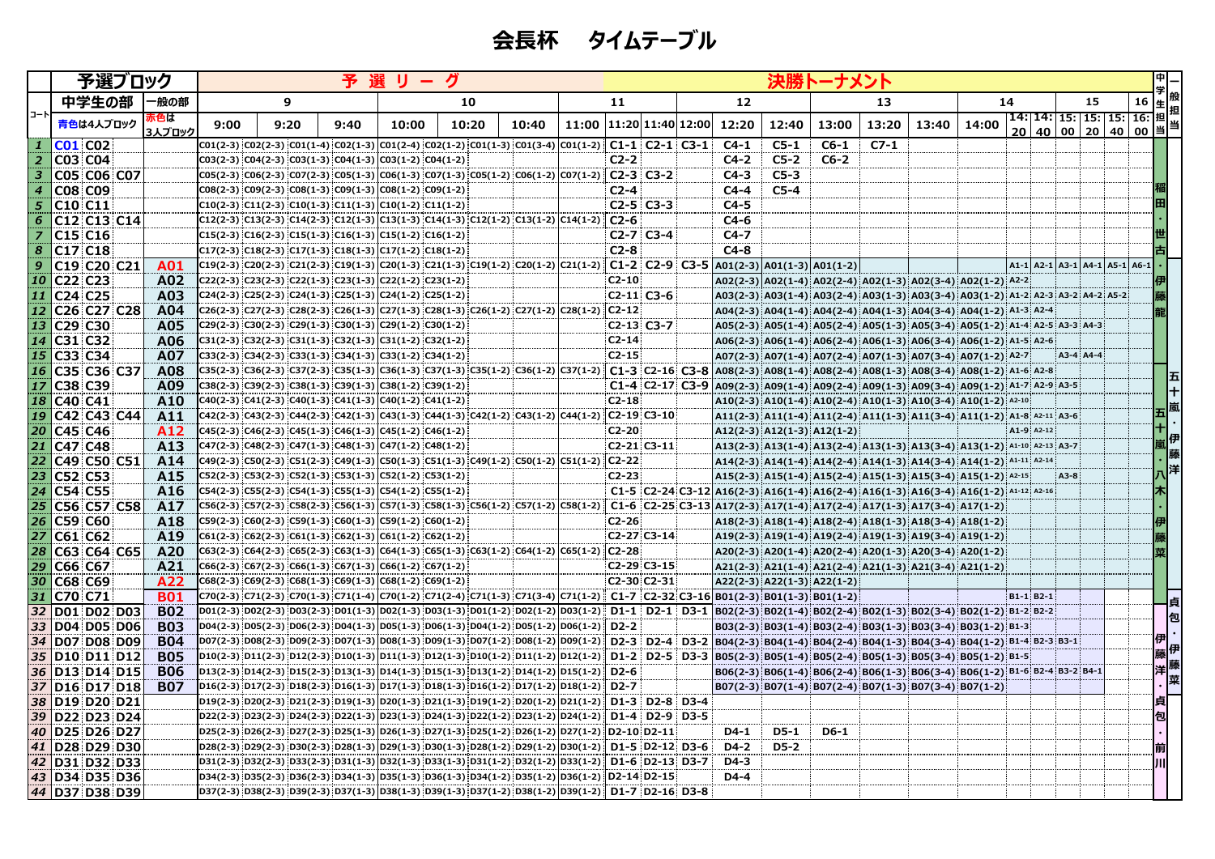|      | 予選ブロック                                         |               |      | 予<br>選 |      |                                                                                                                                                                                                                                                              |       |       |                               |                         |                       |  | 決勝トーナメント<br>$\begin{array}{c} \begin{array}{c} - \frac{1}{2} \\ + \end{array} \end{array}$ # |                                |        |        |                                                                                    |       |            |  |           |                                                                                                      |  |    |     |
|------|------------------------------------------------|---------------|------|--------|------|--------------------------------------------------------------------------------------------------------------------------------------------------------------------------------------------------------------------------------------------------------------|-------|-------|-------------------------------|-------------------------|-----------------------|--|----------------------------------------------------------------------------------------------|--------------------------------|--------|--------|------------------------------------------------------------------------------------|-------|------------|--|-----------|------------------------------------------------------------------------------------------------------|--|----|-----|
|      | 中学生の部                                          | 一般の部          |      | 9      |      |                                                                                                                                                                                                                                                              | 10    |       |                               | 11                      |                       |  | 12                                                                                           |                                |        | 13     |                                                                                    |       | 14         |  |           | 15                                                                                                   |  |    |     |
| コートロ | 青色は4人ブロック                                      | 赤色は<br>3人ブロック | 9:00 | 9:20   | 9:40 | 10:00                                                                                                                                                                                                                                                        | 10:20 | 10:40 | 11:00   11:20   11:40   12:00 |                         |                       |  | 12:20                                                                                        | 12:40                          | 13:00  | 13:20  | 13:40                                                                              | 14:00 |            |  |           | 14: 14: 15: 15: 15: 15: 16: 担 <sup>担</sup><br><u> 20   40   00   20   40   00  </u> 当  <sup>==</sup> |  |    |     |
|      | <b>CO1 CO2</b>                                 |               |      |        |      | $\texttt{[CO1(2-3)]}\texttt{[CO2(2-3)]}\texttt{[CO1(1-4)]}\texttt{[CO2(1-3)]}\texttt{[CO1(2-4)]}\texttt{[CO2(1-2)]}\texttt{[CO1(1-3)]}\texttt{[CO1(3-4)]}\texttt{[CO1(1-2)]}\texttt{[CO1-1]}$                                                                |       |       |                               |                         |                       |  | $C4-1$                                                                                       | $C5-1$                         | $C6-1$ | $C7-1$ |                                                                                    |       |            |  |           |                                                                                                      |  |    |     |
|      | <b>C03 C04</b>                                 |               |      |        |      | C03(2-3) C04(2-3) C03(1-3) C04(1-3) C03(1-2) C04(1-2)                                                                                                                                                                                                        |       |       |                               | $C2-2$                  |                       |  | $C4-2$                                                                                       | $C5-2$                         | $C6-2$ |        |                                                                                    |       |            |  |           |                                                                                                      |  |    |     |
| 3    | C05 C06 C07                                    |               |      |        |      | $C05(2-3)$ $C06(2-3)$ $C07(2-3)$ $C05(1-3)$ $C06(1-3)$ $C07(1-3)$ $C05(1-2)$ $C06(1-2)$ $C07(1-2)$                                                                                                                                                           |       |       |                               | $C2-3$ $C3-2$           |                       |  | $C4-3$                                                                                       | $C5-3$                         |        |        |                                                                                    |       |            |  |           |                                                                                                      |  |    |     |
|      | <b>C08 C09</b>                                 |               |      |        |      | $CO8(2-3)$ $CO9(2-3)$ $CO8(1-3)$ $CO9(1-3)$ $CO8(1-2)$ $CO9(1-2)$                                                                                                                                                                                            |       |       |                               | $C2-4$                  |                       |  | $C4-4$                                                                                       | $C5-4$                         |        |        |                                                                                    |       |            |  |           |                                                                                                      |  |    |     |
| 5    | C10 C11                                        |               |      |        |      | C10(2-3) C11(2-3) C10(1-3) C11(1-3) C10(1-2) C11(1-2)                                                                                                                                                                                                        |       |       |                               | $C2-5$ $C3-3$           |                       |  | $C4-5$                                                                                       |                                |        |        |                                                                                    |       |            |  |           |                                                                                                      |  |    |     |
| 6    | C12 C13 C14<br>C <sub>15</sub> C <sub>16</sub> |               |      |        |      | C12(2-3) C13(2-3) C14(2-3) C12(1-3) C13(1-3) C14(1-3) C12(1-2) C13(1-2) C14(1-2)<br>C15(2-3) C16(2-3) C15(1-3) C16(1-3) C15(1-2) C16(1-2)                                                                                                                    |       |       |                               | $C2-6$<br>$C2-7$ $C3-4$ |                       |  | $C4-6$<br>$C4-7$                                                                             |                                |        |        |                                                                                    |       |            |  |           |                                                                                                      |  |    |     |
| 8    | $CI7$ $C18$                                    |               |      |        |      | $\left  \text{C17(2-3)} \right  \text{C18(2-3)} \left  \text{C17(1-3)} \right  \text{C18(1-3)} \left  \text{C17(1-2)} \right  \text{C18(1-2)} \right $                                                                                                       |       |       |                               | $C2-8$                  |                       |  | $C4-8$                                                                                       |                                |        |        |                                                                                    |       |            |  |           |                                                                                                      |  |    |     |
| 9    | C19 C20 C21                                    | A01           |      |        |      | $C19(2-3)$ $C20(2-3)$ $C21(2-3)$ $C19(1-3)$ $C20(1-3)$ $C21(1-3)$ $C19(1-2)$ $C20(1-2)$ $C21(1-2)$                                                                                                                                                           |       |       |                               | $ C1-2 C2-9 C3-5$       |                       |  |                                                                                              | $ A01(2-3) A01(1-3) A01(1-2) $ |        |        |                                                                                    |       |            |  |           | A1-1 A2-1 A3-1 A4-1 A5-1 A6-1                                                                        |  |    |     |
|      | 10 C22 C23                                     | A02           |      |        |      | $C22(2-3)$ $C23(2-3)$ $C22(1-3)$ $C23(1-3)$ $C22(1-2)$ $C23(1-2)$                                                                                                                                                                                            |       |       |                               | $C2-10$                 |                       |  |                                                                                              |                                |        |        | A02(2-3) A02(1-4) A02(2-4) A02(1-3) A02(3-4) A02(1-2) A2-2                         |       |            |  |           |                                                                                                      |  |    |     |
| 11   | C24 C25                                        | A03           |      |        |      | C24(2-3) C25(2-3) C24(1-3) C25(1-3) C24(1-2) C25(1-2)                                                                                                                                                                                                        |       |       |                               | $C2-11$ : $C3-6$        |                       |  |                                                                                              |                                |        |        | A03(2-3) A03(1-4) A03(2-4) A03(1-3) A03(3-4) A03(1-2) A1-2 A2-3 A3-2 A4-2 A5-2     |       |            |  |           |                                                                                                      |  |    |     |
| 12   | C26 C27 C28                                    | A04           |      |        |      | C26(2-3) $ C27(2-3) C28(2-3) C26(1-3) C27(1-3) C28(1-3) C26(1-2) C27(1-2) C28(1-2) $                                                                                                                                                                         |       |       |                               | $ C2-12 $               |                       |  |                                                                                              |                                |        |        | A04(2-3) A04(1-4) A04(2-4) A04(1-3) A04(3-4) A04(1-2) A1-3 A2-4                    |       |            |  |           |                                                                                                      |  |    |     |
| 13   | C29 C30                                        | A05           |      |        |      | C29(2-3) C30(2-3) C29(1-3) C30(1-3) C29(1-2) C30(1-2)                                                                                                                                                                                                        |       |       |                               | $C2-13$ $C3-7$          |                       |  |                                                                                              |                                |        |        | A05(2-3) A05(1-4) A05(2-4) A05(1-3) A05(3-4) A05(1-2) A1-4 A2-5 A3-3 A4-3          |       |            |  |           |                                                                                                      |  |    |     |
|      | 14 C31 C32                                     | A06           |      |        |      | $C31(2-3)$ $C32(2-3)$ $C31(1-3)$ $C32(1-3)$ $C31(1-2)$ $C32(1-2)$                                                                                                                                                                                            |       |       |                               | $C2-14$                 |                       |  |                                                                                              |                                |        |        | A06(2-3) A06(1-4) A06(2-4) A06(1-3) A06(3-4) A06(1-2) A1-5 A2-6                    |       |            |  |           |                                                                                                      |  |    |     |
|      | 15 C33 C34                                     | <b>A07</b>    |      |        |      | $C33(2-3)$ $C34(2-3)$ $C33(1-3)$ $C34(1-3)$ $C33(1-2)$ $C34(1-2)$                                                                                                                                                                                            |       |       |                               | $C2-15$                 |                       |  |                                                                                              |                                |        |        | A07(2-3) A07(1-4) A07(2-4) A07(1-3) A07(3-4) A07(1-2) A2-7                         |       |            |  | A3-4 A4-4 |                                                                                                      |  |    |     |
|      | 16 C35 C36 C37                                 | A08           |      |        |      | C35(2-3)  C36(2-3)  C37(2-3)  C35(1-3)  C36(1-3)  C37(1-3)  C35(1-2)  C36(1-2)  C37(1-2)   C1-3   C2-16   C3-8                                                                                                                                               |       |       |                               |                         |                       |  |                                                                                              |                                |        |        | $A08(2-3)$ $A08(1-4)$ $A08(2-4)$ $A08(1-3)$ $A08(3-4)$ $A08(1-2)$ $A1-6$ $A2-8$    |       |            |  |           |                                                                                                      |  |    | 伍   |
| 17   | <b>C38 C39</b>                                 | A09           |      |        |      | $C38(2-3)$ $C39(2-3)$ $C38(1-3)$ $C39(1-3)$ $C38(1-2)$ $C39(1-2)$                                                                                                                                                                                            |       |       |                               |                         | $C1-4$ $C2-17$ $C3-9$ |  |                                                                                              |                                |        |        | A09(2-3) A09(1-4) A09(2-4) A09(1-3) A09(3-4) A09(1-2) A1-7 A2-9 A3-5               |       |            |  |           |                                                                                                      |  |    | ΙŦ  |
|      | 18 C40 C41                                     | A10           |      |        |      | $C40(2-3)$ $C41(2-3)$ $C40(1-3)$ $C41(1-3)$ $C40(1-2)$ $C41(1-2)$                                                                                                                                                                                            |       |       |                               | $C2-18$                 |                       |  |                                                                                              |                                |        |        | A10(2-3) A10(1-4) A10(2-4) A10(1-3) A10(3-4) A10(1-2) A2-10                        |       |            |  |           |                                                                                                      |  |    |     |
|      | 19 C42 C43 C44                                 | A11           |      |        |      | $C42(2-3)$ $C43(2-3)$ $C44(2-3)$ $C42(1-3)$ $C43(1-3)$ $C44(1-3)$ $C42(1-2)$ $C43(1-2)$ $C44(1-2)$ $C2-19$ $C3-10$                                                                                                                                           |       |       |                               |                         |                       |  |                                                                                              |                                |        |        | $A11(2-3) A11(1-4) A11(2-4) A11(1-3) A11(3-4) A11(1-2) A1-8 A2-11 A3-6$            |       |            |  |           |                                                                                                      |  |    |     |
|      | 20 C45 C46                                     | A12           |      |        |      | $C45(2-3)$ $C46(2-3)$ $C45(1-3)$ $C46(1-3)$ $C45(1-2)$ $C46(1-2)$                                                                                                                                                                                            |       |       |                               | $C2-20$                 |                       |  |                                                                                              | $A12(2-3) A12(1-3) A12(1-2)$   |        |        |                                                                                    |       | A1-9 A2-12 |  |           |                                                                                                      |  |    |     |
|      | 21 C47 C48                                     | A13           |      |        |      | $\vert$ C47(2-3) C48(2-3) C47(1-3) C48(1-3) C47(1-2) C48(1-2)                                                                                                                                                                                                |       |       |                               | $CC-21$ $C3-11$         |                       |  |                                                                                              |                                |        |        | A13(2-3) A13(1-4) A13(2-4) A13(1-3) A13(3-4) A13(1-2) A1-10 A2-13 A3-7             |       |            |  |           |                                                                                                      |  |    | " 伊 |
|      | 22 C49 C50 C51                                 | A14           |      |        |      | $C49(2-3)$ $C50(2-3)$ $C51(2-3)$ $C49(1-3)$ $C50(1-3)$ $C51(1-3)$ $C49(1-2)$ $C50(1-2)$ $C51(1-2)$                                                                                                                                                           |       |       |                               | $C2-22$                 |                       |  |                                                                                              |                                |        |        | A14(2-3) A14(1-4) A14(2-4) A14(1-3) A14(3-4) A14(1-2) A1-11 A2-14                  |       |            |  |           |                                                                                                      |  |    |     |
|      | 23 C52 C53                                     | A15           |      |        |      | $\overline{\text{C52}(2-3)}$ $\overline{\text{C53}(2-3)}$ $\overline{\text{C52}(1-3)}$ $\overline{\text{C53}(1-3)}$ $\overline{\text{C52}(1-2)}$ $\overline{\text{C53}(1-2)}$                                                                                |       |       |                               | $C2-23$                 |                       |  |                                                                                              |                                |        |        | A15(2-3) A15(1-4) A15(2-4) A15(1-3) A15(3-4) A15(1-2) A2-15                        |       |            |  | A3-8      |                                                                                                      |  |    | (洋  |
|      | 24 C54 C55                                     | A16           |      |        |      | $\overline{C54(2-3)}$ $\overline{C55(2-3)}$ $\overline{C54(1-3)}$ $\overline{C55(1-3)}$ $\overline{C54(1-2)}$ $\overline{C55(1-2)}$                                                                                                                          |       |       |                               |                         |                       |  |                                                                                              |                                |        |        | C1-5 C2-24 C3-12 A16(2-3) A16(1-4) A16(2-4) A16(1-3) A16(3-4) A16(1-2) A1-12 A2-16 |       |            |  |           |                                                                                                      |  |    |     |
|      | 25 C56 C57 C58                                 | A17           |      |        |      | $\textsf{\small{C56(2-3)}}\textsf{\small{C57(2-3)}}\textsf{\small{C58(2-3)}}\textsf{\small{C56(1-3)}}\textsf{\small{C57(1-3)}}\textsf{\small{C58(1-3)}}\textsf{\small{C56(1-2)}}\textsf{\small{C57(1-2)}}\textsf{\small{C58(1-2)}}\textsf{\small{C58(1-2)}}$ |       |       |                               |                         |                       |  |                                                                                              |                                |        |        | C1-6 $ C2-25 C3-13 A17(2-3) A17(1-4) A17(2-4) A17(1-3) A17(3-4) A17(1-2) $         |       |            |  |           |                                                                                                      |  |    |     |
|      | 26 C59 C60                                     | A18           |      |        |      | $\vert$ C59(2-3) $\vert$ C60(2-3) $\vert$ C59(1-3) $\vert$ C60(1-3) $\vert$ C59(1-2) $\vert$ C60(1-2) $\vert$                                                                                                                                                |       |       |                               | $C2-26$                 |                       |  |                                                                                              |                                |        |        | A18(2-3) A18(1-4) A18(2-4) A18(1-3) A18(3-4) A18(1-2)                              |       |            |  |           |                                                                                                      |  |    |     |
|      | 27 C61 C62                                     | A19           |      |        |      | $\boxed{C61(2-3)$ $C62(2-3)$ $C61(1-3)$ $C62(1-3)$ $C61(1-2)$ $C62(1-2)$                                                                                                                                                                                     |       |       |                               | C2-27 C3-14             |                       |  |                                                                                              |                                |        |        | A19(2-3) A19(1-4) A19(2-4) A19(1-3) A19(3-4) A19(1-2)                              |       |            |  |           |                                                                                                      |  |    |     |
|      | 28 C63 C64 C65                                 | A20           |      |        |      | $\boxed{\text{C63}(2-3)\ \text{C64}(2-3)\ \text{C65}(2-3)\ \text{C63}(1-3)\ \text{C64}(1-3)\ \text{C65}(1-3)\ \text{C63}(1-2)\ \text{C64}(1-2)\ \text{C65}(1-2)\ \text{C2-28}}$                                                                              |       |       |                               |                         |                       |  |                                                                                              |                                |        |        | A20(2-3) A20(1-4) A20(2-4) A20(1-3) A20(3-4) A20(1-2)                              |       |            |  |           |                                                                                                      |  |    |     |
|      | 29 C66 C67                                     | A21           |      |        |      | $CG6(2-3)$ $CG7(2-3)$ $CG6(1-3)$ $CG7(1-3)$ $CG6(1-2)$ $CG7(1-2)$                                                                                                                                                                                            |       |       |                               | C2-29 C3-15             |                       |  |                                                                                              |                                |        |        | A21(2-3) A21(1-4) A21(2-4) A21(1-3) A21(3-4) A21(1-2)                              |       |            |  |           |                                                                                                      |  |    |     |
|      | 30 C68 C69                                     | A22           |      |        |      | $\boxed{\text{C68}(2-3)\,\text{C69}(2-3)\,\text{C68}(1-3)\,\text{C69}(1-3)\,\text{C68}(1-2)\,\text{C69}(1-2)}$                                                                                                                                               |       |       |                               | C2-30 C2-31             |                       |  |                                                                                              | A22(2-3) A22(1-3) A22(1-2)     |        |        |                                                                                    |       |            |  |           |                                                                                                      |  |    |     |
|      | 31 C70 C71                                     | <b>B01</b>    |      |        |      | C70(2-3) C71(2-3) C70(1-3) C71(1-4) C70(1-2) C71(2-4) C71(1-3) C71(3-4) C71(1-2) C1-7 C2-32 C3-16 B01(2-3) B01(1-3) B01(1-2)                                                                                                                                 |       |       |                               |                         |                       |  |                                                                                              |                                |        |        |                                                                                    |       | B1-1 B2-1  |  |           |                                                                                                      |  |    |     |
|      | 32 D01 D02 D03                                 | <b>B02</b>    |      |        |      | D01(2-3) D02(2-3) D03(2-3) D01(1-3) D02(1-3) D03(1-3) D01(1-2) D02(1-2) D03(1-2) D1-1 D2-1 D3-1 B02(2-3) B02(1-4) B02(2-4) B02(1-3) B02(3-4) B02(1-2) B1-2 B2-2                                                                                              |       |       |                               |                         |                       |  |                                                                                              |                                |        |        |                                                                                    |       |            |  |           |                                                                                                      |  |    | 包   |
|      | 33 D04 D05 D06                                 | <b>B03</b>    |      |        |      | D04(2-3) D05(2-3) D06(2-3) D04(1-3) D05(1-3) D06(1-3) D04(1-2) D05(1-2) D06(1-2) D2-2                                                                                                                                                                        |       |       |                               |                         |                       |  |                                                                                              |                                |        |        | B03(2-3) B03(1-4) B03(2-4) B03(1-3) B03(3-4) B03(1-2) B1-3                         |       |            |  |           |                                                                                                      |  | 伊  |     |
|      | 34 D07 D08 D09                                 | <b>B04</b>    |      |        |      | D07(2-3) D08(2-3) D09(2-3) D07(1-3) D08(1-3) D09(1-3) D07(1-2) D08(1-2) D09(1-2)  D2-3   D2-4   D3-2  B04(2-3) B04(1-4) B04(2-4) B04(1-3) B04(3-4) B04(1-2) B1-4 B2-3 B3-1                                                                                   |       |       |                               |                         |                       |  |                                                                                              |                                |        |        |                                                                                    |       |            |  |           |                                                                                                      |  | 藤伊 |     |
|      | 35 D10 D11 D12                                 | <b>B05</b>    |      |        |      | D10(2-3) D11(2-3) D12(2-3) D10(1-3) D11(1-3) D12(1-3) D10(1-2) D11(1-2) D12(1-2) D1-2 D2-5 D3-3 B05(2-3) B05(1-4) B05(2-4) B05(1-3) B05(3-4) B05(1-2) B1-5                                                                                                   |       |       |                               |                         |                       |  |                                                                                              |                                |        |        |                                                                                    |       |            |  |           |                                                                                                      |  |    | 洋 藤 |
|      | 36 D13 D14 D15                                 | <b>B06</b>    |      |        |      | D13(2-3) D14(2-3) D15(2-3) D13(1-3) D14(1-3) D15(1-3) D13(1-2) D14(1-2) D15(1-2) D2-6                                                                                                                                                                        |       |       |                               |                         |                       |  |                                                                                              |                                |        |        | B06(2-3) B06(1-4) B06(2-4) B06(1-3) B06(3-4) B06(1-2) B1-6 B2-4 B3-2 B4-1          |       |            |  |           |                                                                                                      |  |    | 菜   |
|      | 37 D16 D17 D18<br>38 D19 D20 D21               | <b>B07</b>    |      |        |      | $D16(2-3)$ :D17(2-3):D18(2-3):D16(1-3) $D17(1-3)$ :D18(1-3):D16(1-2):D17(1-2) $D18(1-2)$ ]<br>D19(2-3) D20(2-3) D21(2-3) D19(1-3) D20(1-3) D21(1-3) D19(1-2) D20(1-2) D21(1-2)  D1-3 D2-8 D3-4                                                               |       |       |                               |                         |                       |  |                                                                                              |                                |        |        | B07(2-3) B07(1-4) B07(2-4) B07(1-3) B07(3-4) B07(1-2)                              |       |            |  |           |                                                                                                      |  |    |     |
|      | 39 D22 D23 D24                                 |               |      |        |      | D22(2-3) D23(2-3) D24(2-3) D22(1-3) D23(1-3) D24(1-3) D22(1-2) D23(1-2) D24(1-2)  D1-4   D2-9   D3-5                                                                                                                                                         |       |       |                               |                         |                       |  |                                                                                              |                                |        |        |                                                                                    |       |            |  |           |                                                                                                      |  |    |     |
|      | 40 D25 D26 D27                                 |               |      |        |      | D25(2-3) D26(2-3) D27(2-3) D25(1-3) D26(1-3) D27(1-3) D25(1-2) D26(1-2) D27(1-2) D2-10 D2-11                                                                                                                                                                 |       |       |                               |                         |                       |  | $D4-1$                                                                                       | $D5-1$                         | $D6-1$ |        |                                                                                    |       |            |  |           |                                                                                                      |  |    |     |
|      | 41 D28 D29 D30                                 |               |      |        |      | D28(2-3) D29(2-3) D30(2-3) D28(1-3) D29(1-3) D30(1-3) D28(1-2) D29(1-2) D30(1-2) D1-5 D2-12 D3-6                                                                                                                                                             |       |       |                               |                         |                       |  | $D4-2$                                                                                       | $D5-2$                         |        |        |                                                                                    |       |            |  |           |                                                                                                      |  |    |     |
|      | 42 D31 D32 D33                                 |               |      |        |      | D31(2-3) D32(2-3) D33(2-3) D31(1-3) D32(1-3) D33(1-3) D31(1-2) D32(1-2) D33(1-2) D1-6 D2-13 D3-7                                                                                                                                                             |       |       |                               |                         |                       |  | $D4-3$                                                                                       |                                |        |        |                                                                                    |       |            |  |           |                                                                                                      |  |    |     |
|      | 43   D34   D35   D36                           |               |      |        |      | D34(2-3) D35(2-3) D36(2-3) D34(1-3) D35(1-3) D36(1-3) D34(1-2) D35(1-2) D36(1-2) D2-14 D2-15                                                                                                                                                                 |       |       |                               |                         |                       |  | $D4-4$                                                                                       |                                |        |        |                                                                                    |       |            |  |           |                                                                                                      |  |    |     |
|      | 44 D37 D38 D39                                 |               |      |        |      | D37(2-3) D38(2-3) D39(2-3) D37(1-3) D38(1-3) D39(1-3) D37(1-2) D38(1-2) D39(1-2) D1-7 D2-16 D3-8                                                                                                                                                             |       |       |                               |                         |                       |  |                                                                                              |                                |        |        |                                                                                    |       |            |  |           |                                                                                                      |  |    |     |

## **会長杯 タイムテーブル**